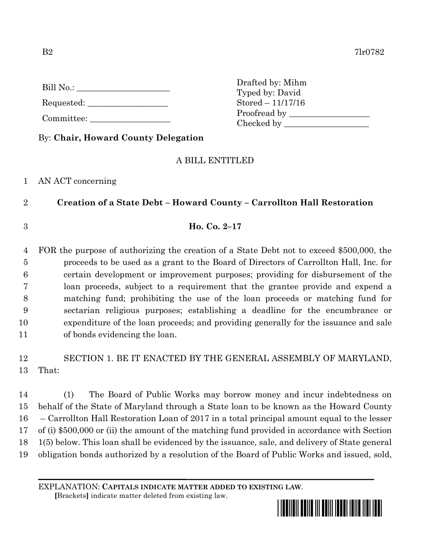Requested:

Committee:

Drafted by: Mihm Typed by: David Stored – 11/17/16 Proofread by Checked by \_\_\_\_\_\_\_\_\_\_\_\_\_\_\_\_\_\_\_\_

By: **Chair, Howard County Delegation**

## A BILL ENTITLED

## 1 AN ACT concerning

2 **Creation of a State Debt – Howard County – Carrollton Hall Restoration**

3 **Ho. Co. 2–17**

 FOR the purpose of authorizing the creation of a State Debt not to exceed \$500,000, the proceeds to be used as a grant to the Board of Directors of Carrollton Hall, Inc. for certain development or improvement purposes; providing for disbursement of the loan proceeds, subject to a requirement that the grantee provide and expend a matching fund; prohibiting the use of the loan proceeds or matching fund for sectarian religious purposes; establishing a deadline for the encumbrance or expenditure of the loan proceeds; and providing generally for the issuance and sale of bonds evidencing the loan.

12 SECTION 1. BE IT ENACTED BY THE GENERAL ASSEMBLY OF MARYLAND, 13 That:

 (1) The Board of Public Works may borrow money and incur indebtedness on behalf of the State of Maryland through a State loan to be known as the Howard County – Carrollton Hall Restoration Loan of 2017 in a total principal amount equal to the lesser of (i) \$500,000 or (ii) the amount of the matching fund provided in accordance with Section 1(5) below. This loan shall be evidenced by the issuance, sale, and delivery of State general obligation bonds authorized by a resolution of the Board of Public Works and issued, sold,

EXPLANATION: **CAPITALS INDICATE MATTER ADDED TO EXISTING LAW**.

 **[**Brackets**]** indicate matter deleted from existing law.

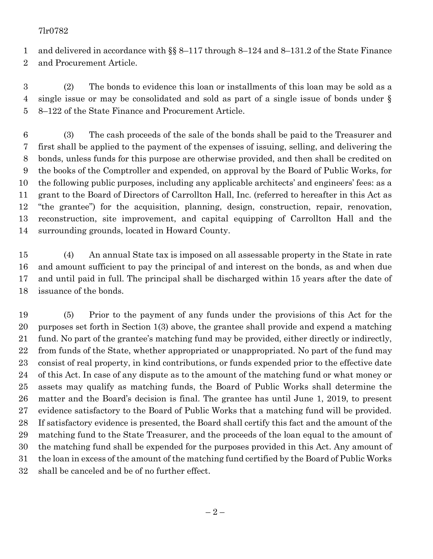## 7lr0782

 and delivered in accordance with §§ 8–117 through 8–124 and 8–131.2 of the State Finance and Procurement Article.

 (2) The bonds to evidence this loan or installments of this loan may be sold as a single issue or may be consolidated and sold as part of a single issue of bonds under § 8–122 of the State Finance and Procurement Article.

 (3) The cash proceeds of the sale of the bonds shall be paid to the Treasurer and first shall be applied to the payment of the expenses of issuing, selling, and delivering the bonds, unless funds for this purpose are otherwise provided, and then shall be credited on the books of the Comptroller and expended, on approval by the Board of Public Works, for the following public purposes, including any applicable architects' and engineers' fees: as a grant to the Board of Directors of Carrollton Hall, Inc. (referred to hereafter in this Act as "the grantee") for the acquisition, planning, design, construction, repair, renovation, reconstruction, site improvement, and capital equipping of Carrollton Hall and the surrounding grounds, located in Howard County.

 (4) An annual State tax is imposed on all assessable property in the State in rate and amount sufficient to pay the principal of and interest on the bonds, as and when due and until paid in full. The principal shall be discharged within 15 years after the date of issuance of the bonds.

 (5) Prior to the payment of any funds under the provisions of this Act for the purposes set forth in Section 1(3) above, the grantee shall provide and expend a matching fund. No part of the grantee's matching fund may be provided, either directly or indirectly, from funds of the State, whether appropriated or unappropriated. No part of the fund may consist of real property, in kind contributions, or funds expended prior to the effective date of this Act. In case of any dispute as to the amount of the matching fund or what money or assets may qualify as matching funds, the Board of Public Works shall determine the matter and the Board's decision is final. The grantee has until June 1, 2019, to present evidence satisfactory to the Board of Public Works that a matching fund will be provided. If satisfactory evidence is presented, the Board shall certify this fact and the amount of the matching fund to the State Treasurer, and the proceeds of the loan equal to the amount of the matching fund shall be expended for the purposes provided in this Act. Any amount of the loan in excess of the amount of the matching fund certified by the Board of Public Works shall be canceled and be of no further effect.